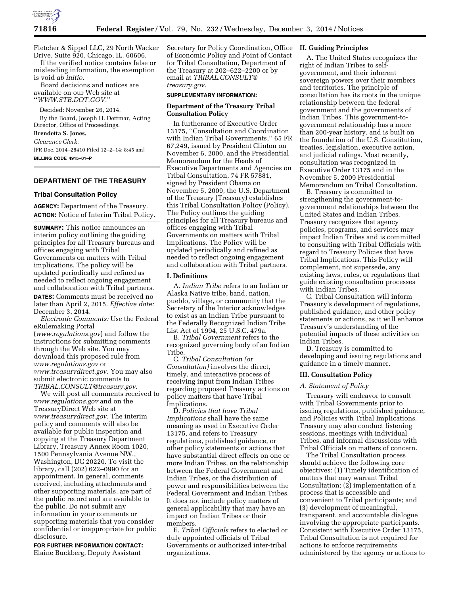

Fletcher & Sippel LLC, 29 North Wacker Drive, Suite 920, Chicago, IL. 60606.

If the verified notice contains false or misleading information, the exemption is void *ab initio.* 

Board decisions and notices are available on our Web site at ''*[WWW.STB.DOT.GOV.](http://WWW.STB.DOT.GOV)*''

Decided: November 26, 2014.

By the Board, Joseph H. Dettmar, Acting Director, Office of Proceedings.

# **Brendetta S. Jones,**

*Clearance Clerk.*  [FR Doc. 2014–28410 Filed 12–2–14; 8:45 am] **BILLING CODE 4915–01–P** 

## **DEPARTMENT OF THE TREASURY**

### **Tribal Consultation Policy**

**AGENCY:** Department of the Treasury. **ACTION:** Notice of Interim Tribal Policy.

**SUMMARY:** This notice announces an interim policy outlining the guiding principles for all Treasury bureaus and offices engaging with Tribal Governments on matters with Tribal implications. The policy will be updated periodically and refined as needed to reflect ongoing engagement and collaboration with Tribal partners.

**DATES:** Comments must be received no later than April 2, 2015. *Effective date:*  December 3, 2014.

*Electronic Comments:* Use the Federal eRulemaking Portal (*[www.regulations.gov](http://www.regulations.gov)*) and follow the instructions for submitting comments through the Web site. You may download this proposed rule from *[www.regulations.gov](http://www.regulations.gov)* or *[www.treasurydirect.gov.](http://www.treasurydirect.gov)* You may also submit electronic comments to *[TRIBAL.CONSULT@treasury.gov.](mailto:TRIBAL.CONSULT@treasury.gov)* 

We will post all comments received to *[www.regulations.gov](http://www.regulations.gov)* and on the TreasuryDirect Web site at *[www.treasurydirect.gov.](http://www.treasurydirect.gov)* The interim policy and comments will also be available for public inspection and copying at the Treasury Department Library, Treasury Annex Room 1020, 1500 Pennsylvania Avenue NW., Washington, DC 20220. To visit the library, call (202) 622–0990 for an appointment. In general, comments received, including attachments and other supporting materials, are part of the public record and are available to the public. Do not submit any information in your comments or supporting materials that you consider confidential or inappropriate for public disclosure.

**FOR FURTHER INFORMATION CONTACT:**  Elaine Buckberg, Deputy Assistant

Secretary for Policy Coordination, Office **II. Guiding Principles**  of Economic Policy and Point of Contact for Tribal Consultation, Department of the Treasury at 202–622–2200 or by email at *[TRIBAL.CONSULT@](mailto:TRIBAL.CONSULT@treasury.gov) [treasury.gov.](mailto:TRIBAL.CONSULT@treasury.gov)* 

#### **SUPPLEMENTARY INFORMATION:**

## **Department of the Treasury Tribal Consultation Policy**

In furtherance of Executive Order 13175, ''Consultation and Coordination with Indian Tribal Governments,'' 65 FR 67,249, issued by President Clinton on November 6, 2000, and the Presidential Memorandum for the Heads of Executive Departments and Agencies on Tribal Consultation, 74 FR 57881, signed by President Obama on November 5, 2009, the U.S. Department of the Treasury (Treasury) establishes this Tribal Consultation Policy (Policy). The Policy outlines the guiding principles for all Treasury bureaus and offices engaging with Tribal Governments on matters with Tribal Implications. The Policy will be updated periodically and refined as needed to reflect ongoing engagement and collaboration with Tribal partners.

## **I. Definitions**

A. *Indian Tribe* refers to an Indian or Alaska Native tribe, band, nation, pueblo, village, or community that the Secretary of the Interior acknowledges to exist as an Indian Tribe pursuant to the Federally Recognized Indian Tribe List Act of 1994, 25 U.S.C. 479a.

B. *Tribal Government* refers to the recognized governing body of an Indian Tribe.

C. *Tribal Consultation (or Consultation)* involves the direct, timely, and interactive process of receiving input from Indian Tribes regarding proposed Treasury actions on policy matters that have Tribal Implications.

D. *Policies that have Tribal Implications* shall have the same meaning as used in Executive Order 13175, and refers to Treasury regulations, published guidance, or other policy statements or actions that have substantial direct effects on one or more Indian Tribes, on the relationship between the Federal Government and Indian Tribes, or the distribution of power and responsibilities between the Federal Government and Indian Tribes. It does not include policy matters of general applicability that may have an impact on Indian Tribes or their members.

E. *Tribal Officials* refers to elected or duly appointed officials of Tribal Governments or authorized inter-tribal organizations.

A. The United States recognizes the right of Indian Tribes to selfgovernment, and their inherent sovereign powers over their members and territories. The principle of consultation has its roots in the unique relationship between the federal government and the governments of Indian Tribes. This government-togovernment relationship has a more than 200-year history, and is built on the foundation of the U.S. Constitution, treaties, legislation, executive action, and judicial rulings. Most recently, consultation was recognized in Executive Order 13175 and in the November 5, 2009 Presidential Memorandum on Tribal Consultation.

B. Treasury is committed to strengthening the government-togovernment relationships between the United States and Indian Tribes. Treasury recognizes that agency policies, programs, and services may impact Indian Tribes and is committed to consulting with Tribal Officials with regard to Treasury Policies that have Tribal Implications. This Policy will complement, not supersede, any existing laws, rules, or regulations that guide existing consultation processes with Indian Tribes.

C. Tribal Consultation will inform Treasury's development of regulations, published guidance, and other policy statements or actions, as it will enhance Treasury's understanding of the potential impacts of these activities on Indian Tribes.

D. Treasury is committed to developing and issuing regulations and guidance in a timely manner.

#### **III. Consultation Policy**

#### *A. Statement of Policy*

Treasury will endeavor to consult with Tribal Governments prior to issuing regulations, published guidance, and Policies with Tribal Implications. Treasury may also conduct listening sessions, meetings with individual Tribes, and informal discussions with Tribal Officials on matters of concern.

The Tribal Consultation process should achieve the following core objectives: (1) Timely identification of matters that may warrant Tribal Consultation; (2) implementation of a process that is accessible and convenient to Tribal participants; and (3) development of meaningful, transparent, and accountable dialogue involving the appropriate participants. Consistent with Executive Order 13175, Tribal Consultation is not required for actions to enforce requirements administered by the agency or actions to